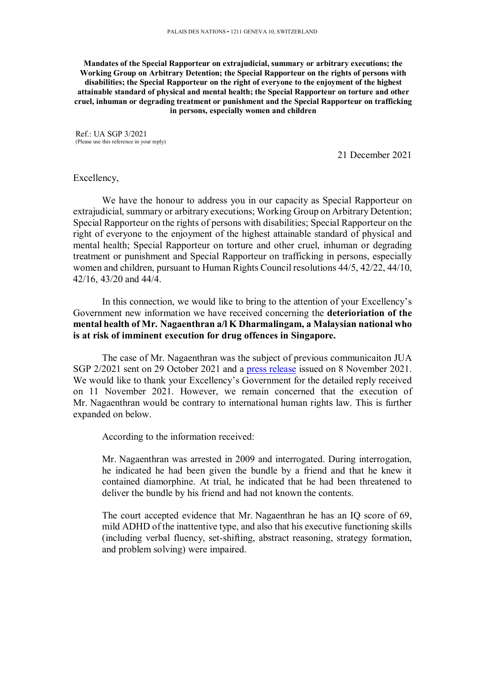**Mandates of the Special Rapporteur on extrajudicial, summary or arbitrary executions; the Working Group on Arbitrary Detention; the Special Rapporteur on the rights of persons with disabilities; the Special Rapporteur on the right of everyone to the enjoyment of the highest attainable standard of physical and mental health; the Special Rapporteur on torture and other cruel, inhuman or degrading treatment or punishment and the Special Rapporteur on trafficking in persons, especially women and children** 

Ref.: UA SGP 3/2021 (Please use this reference in your reply)

21 December 2021

## Excellency,

We have the honour to address you in our capacity as Special Rapporteur on extrajudicial, summary or arbitrary executions; Working Group on Arbitrary Detention; Special Rapporteur on the rights of persons with disabilities; Special Rapporteur on the right of everyone to the enjoyment of the highest attainable standard of physical and mental health; Special Rapporteur on torture and other cruel, inhuman or degrading treatment or punishment and Special Rapporteur on trafficking in persons, especially women and children, pursuant to Human Rights Council resolutions 44/5, 42/22, 44/10, 42/16, 43/20 and 44/4.

In this connection, we would like to bring to the attention of your Excellency's Government new information we have received concerning the **deterioriation of the mental health of Mr. Nagaenthran a/l K Dharmalingam, a Malaysian national who is at risk of imminent execution for drug offences in Singapore.** 

The case of Mr. Nagaenthran was the subject of previous communicaiton JUA SGP 2/2021 sent on 29 October 2021 and a press release issued on 8 November 2021. We would like to thank your Excellency's Government for the detailed reply received on 11 November 2021. However, we remain concerned that the execution of Mr. Nagaenthran would be contrary to international human rights law. This is further expanded on below.

According to the information received:

Mr. Nagaenthran was arrested in 2009 and interrogated. During interrogation, he indicated he had been given the bundle by a friend and that he knew it contained diamorphine. At trial, he indicated that he had been threatened to deliver the bundle by his friend and had not known the contents.

The court accepted evidence that Mr. Nagaenthran he has an IQ score of 69, mild ADHD of the inattentive type, and also that his executive functioning skills (including verbal fluency, set-shifting, abstract reasoning, strategy formation, and problem solving) were impaired.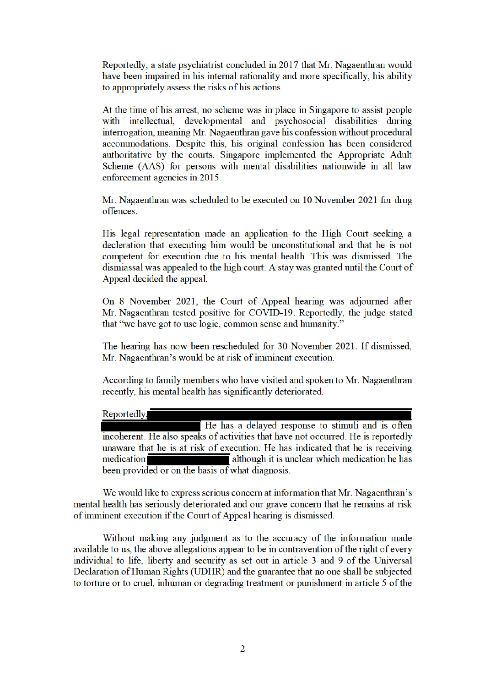Reportedly, a state psychiatrist concluded in 2017 that Mr. Nagaenthran would have been impaired in his internal rationality and more specifically, his ability to appropriately assess the risks of his actions.

At the time of his arrest, no scheme was in place in Singapore to assist people with intellectual, developmental and psychosocial disabilities during interrogation, meaning Mr. Nagaenthran gave his confession without procedural accommodations. Despite this, his original confession has been considered authoritative by the courts. Singapore implemented the Appropriate Adult Scheme (AAS) for persons with mental disabilities nationwide in all law enforcement agencies in 2015.

Mr. Nagaenthran was scheduled to be executed on 10 November 2021 for drug offences.

His legal representation made an application to the High Court seeking a decleration that executing him would be unconstitutional and that he is not competent for execution due to his mental health. This was dismissed. The dismiassal was appealed to the high court. A stay was granted until the Court of Appeal decided the appeal.

On 8 November 2021, the Court of Appeal hearing was adjourned after Mr. Nagaenthran tested positive for COVID-19. Reportedly, the judge stated that "we have got to use logic, common sense and humanity."

The hearing has now been rescheduled for 30 November 2021. If dismissed, Mr. Nagaenthran's would be at risk of imminent execution.

According to family members who have visited and spoken to Mr. Nagaenthran recently, his mental health has significantly deteriorated.

Reportedly. He has a delayed response to stimuli and is often incoherent. He also speaks of activities that have not occurred. He is reportedly unaware that he is at risk of execution. He has indicated that he is receiving although it is unclear which medication he has medication been provided or on the basis of what diagnosis.

We would like to express serious concern at information that Mr. Nagaenthran's mental health has seriously deteriorated and our grave concern that he remains at risk of imminent execution if the Court of Appeal hearing is dismissed.

Without making any judgment as to the accuracy of the information made available to us, the above allegations appear to be in contravention of the right of every individual to life, liberty and security as set out in article 3 and 9 of the Universal Declaration of Human Rights (UDHR) and the guarantee that no one shall be subjected to torture or to cruel, inhuman or degrading treatment or punishment in article 5 of the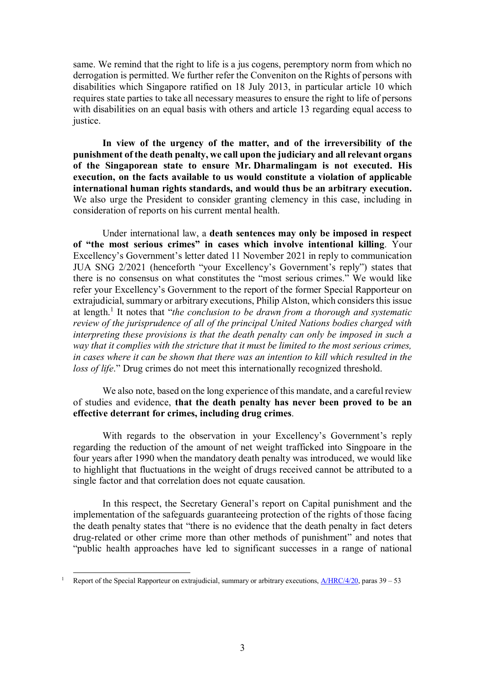same. We remind that the right to life is a jus cogens, peremptory norm from which no derrogation is permitted. We further refer the Conveniton on the Rights of persons with disabilities which Singapore ratified on 18 July 2013, in particular article 10 which requires state parties to take all necessary measures to ensure the right to life of persons with disabilities on an equal basis with others and article 13 regarding equal access to justice.

**In view of the urgency of the matter, and of the irreversibility of the punishment of the death penalty, we call upon the judiciary and all relevant organs of the Singaporean state to ensure Mr. Dharmalingam is not executed. His execution, on the facts available to us would constitute a violation of applicable international human rights standards, and would thus be an arbitrary execution.** We also urge the President to consider granting clemency in this case, including in consideration of reports on his current mental health.

Under international law, a **death sentences may only be imposed in respect of "the most serious crimes" in cases which involve intentional killing**. Your Excellency's Government's letter dated 11 November 2021 in reply to communication JUA SNG 2/2021 (henceforth "your Excellency's Government's reply") states that there is no consensus on what constitutes the "most serious crimes." We would like refer your Excellency's Government to the report of the former Special Rapporteur on extrajudicial, summary or arbitrary executions, Philip Alston, which considers this issue at length.<sup>1</sup> It notes that "*the conclusion to be drawn from a thorough and systematic review of the jurisprudence of all of the principal United Nations bodies charged with interpreting these provisions is that the death penalty can only be imposed in such a way that it complies with the stricture that it must be limited to the most serious crimes, in cases where it can be shown that there was an intention to kill which resulted in the loss of life.*" Drug crimes do not meet this internationally recognized threshold.

We also note, based on the long experience of this mandate, and a careful review of studies and evidence, **that the death penalty has never been proved to be an effective deterrant for crimes, including drug crimes**.

With regards to the observation in your Excellency's Government's reply regarding the reduction of the amount of net weight trafficked into Singpoare in the four years after 1990 when the mandatory death penalty was introduced, we would like to highlight that fluctuations in the weight of drugs received cannot be attributed to a single factor and that correlation does not equate causation.

In this respect, the Secretary General's report on Capital punishment and the implementation of the safeguards guaranteeing protection of the rights of those facing the death penalty states that "there is no evidence that the death penalty in fact deters drug-related or other crime more than other methods of punishment" and notes that "public health approaches have led to significant successes in a range of national

<sup>1</sup> Report of the Special Rapporteur on extrajudicial, summary or arbitrary executions,  $\frac{\text{A/HRC}}{\text{A/20}}$ , paras 39 – 53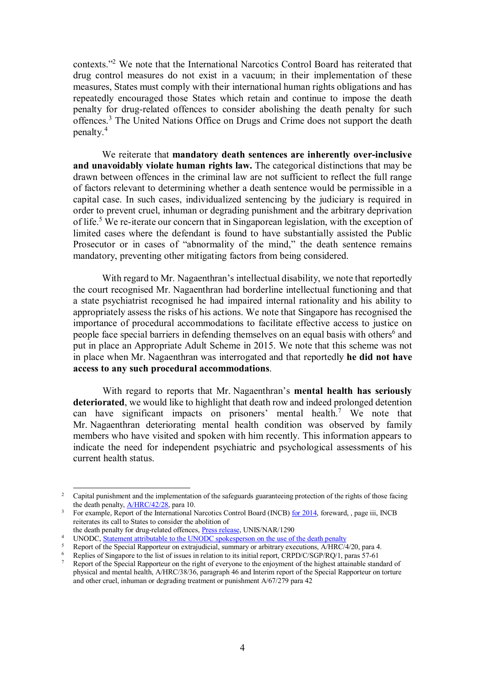contexts."<sup>2</sup> We note that the International Narcotics Control Board has reiterated that drug control measures do not exist in a vacuum; in their implementation of these measures, States must comply with their international human rights obligations and has repeatedly encouraged those States which retain and continue to impose the death penalty for drug-related offences to consider abolishing the death penalty for such offences.<sup>3</sup> The United Nations Office on Drugs and Crime does not support the death penalty.<sup>4</sup>

We reiterate that **mandatory death sentences are inherently over-inclusive and unavoidably violate human rights law.** The categorical distinctions that may be drawn between offences in the criminal law are not sufficient to reflect the full range of factors relevant to determining whether a death sentence would be permissible in a capital case. In such cases, individualized sentencing by the judiciary is required in order to prevent cruel, inhuman or degrading punishment and the arbitrary deprivation of life.<sup>5</sup> We re-iterate our concern that in Singaporean legislation, with the exception of limited cases where the defendant is found to have substantially assisted the Public Prosecutor or in cases of "abnormality of the mind," the death sentence remains mandatory, preventing other mitigating factors from being considered.

With regard to Mr. Nagaenthran's intellectual disability, we note that reportedly the court recognised Mr. Nagaenthran had borderline intellectual functioning and that a state psychiatrist recognised he had impaired internal rationality and his ability to appropriately assess the risks of his actions. We note that Singapore has recognised the importance of procedural accommodations to facilitate effective access to justice on people face special barriers in defending themselves on an equal basis with others<sup>6</sup> and put in place an Appropriate Adult Scheme in 2015. We note that this scheme was not in place when Mr. Nagaenthran was interrogated and that reportedly **he did not have access to any such procedural accommodations**.

With regard to reports that Mr. Nagaenthran's **mental health has seriously deteriorated**, we would like to highlight that death row and indeed prolonged detention can have significant impacts on prisoners' mental health.<sup>7</sup> We note that Mr. Nagaenthran deteriorating mental health condition was observed by family members who have visited and spoken with him recently. This information appears to indicate the need for independent psychiatric and psychological assessments of his current health status.

<sup>&</sup>lt;sup>2</sup> Capital punishment and the implementation of the safeguards guaranteeing protection of the rights of those facing the death penalty,  $\angle M \rightarrow N \angle R$  para 10.

<sup>3</sup> For example, Report of the International Narcotics Control Board (INCB) for 2014, foreward, , page iii, INCB reiterates its call to States to consider the abolition of

the death penalty for drug-related offences, Press release, UNIS/NAR/1290

<sup>&</sup>lt;sup>4</sup> UNODC, Statement attributable to the UNODC spokesperson on the use of the death penalty

<sup>5</sup> Report of the Special Rapporteur on extrajudicial, summary or arbitrary executions, A/HRC/4/20, para 4.

<sup>6</sup> Replies of Singapore to the list of issues in relation to its initial report, CRPD/C/SGP/RQ/1, paras 57-61

<sup>7</sup> Report of the Special Rapporteur on the right of everyone to the enjoyment of the highest attainable standard of physical and mental health, A/HRC/38/36, paragraph 46 and Interim report of the Special Rapporteur on torture and other cruel, inhuman or degrading treatment or punishment  $A/67/279$  para 42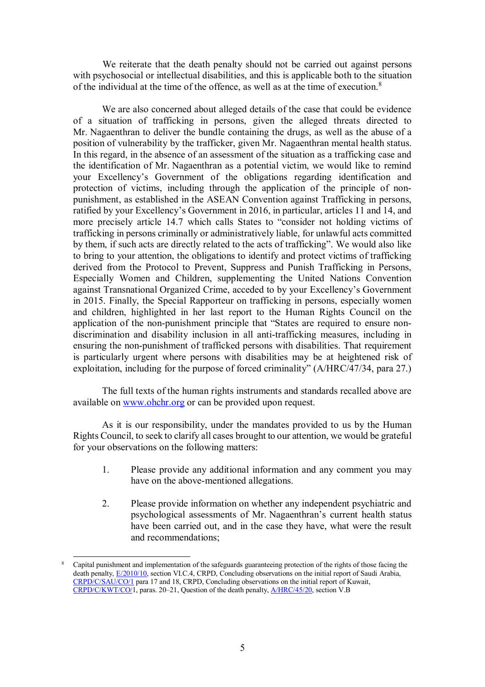We reiterate that the death penalty should not be carried out against persons with psychosocial or intellectual disabilities, and this is applicable both to the situation of the individual at the time of the offence, as well as at the time of execution.<sup>8</sup>

We are also concerned about alleged details of the case that could be evidence of a situation of trafficking in persons, given the alleged threats directed to Mr. Nagaenthran to deliver the bundle containing the drugs, as well as the abuse of a position of vulnerability by the trafficker, given Mr. Nagaenthran mental health status. In this regard, in the absence of an assessment of the situation as a trafficking case and the identification of Mr. Nagaenthran as a potential victim, we would like to remind your Excellency's Government of the obligations regarding identification and protection of victims, including through the application of the principle of nonpunishment, as established in the ASEAN Convention against Trafficking in persons, ratified by your Excellency's Government in 2016, in particular, articles 11 and 14, and more precisely article 14.7 which calls States to "consider not holding victims of trafficking in persons criminally or administratively liable, for unlawful acts committed by them, if such acts are directly related to the acts of trafficking". We would also like to bring to your attention, the obligations to identify and protect victims of trafficking derived from the Protocol to Prevent, Suppress and Punish Trafficking in Persons, Especially Women and Children, supplementing the United Nations Convention against Transnational Organized Crime, acceded to by your Excellency's Government in 2015. Finally, the Special Rapporteur on trafficking in persons, especially women and children, highlighted in her last report to the Human Rights Council on the application of the non-punishment principle that "States are required to ensure nondiscrimination and disability inclusion in all anti-trafficking measures, including in ensuring the non-punishment of trafficked persons with disabilities. That requirement is particularly urgent where persons with disabilities may be at heightened risk of exploitation, including for the purpose of forced criminality" (A/HRC/47/34, para 27.)

The full texts of the human rights instruments and standards recalled above are available on www.ohchr.org or can be provided upon request.

As it is our responsibility, under the mandates provided to us by the Human Rights Council, to seek to clarify all cases brought to our attention, we would be grateful for your observations on the following matters:

- 1. Please provide any additional information and any comment you may have on the above-mentioned allegations.
- 2. Please provide information on whether any independent psychiatric and psychological assessments of Mr. Nagaenthran's current health status have been carried out, and in the case they have, what were the result and recommendations;

<sup>-</sup>8 Capital punishment and implementation of the safeguards guaranteeing protection of the rights of those facing the death penalty, E/2010/10, section VI.C.4, CRPD, Concluding observations on the initial report of Saudi Arabia, CRPD/C/SAU/CO/1 para 17 and 18, CRPD, Concluding observations on the initial report of Kuwait, CRPD/C/KWT/CO/1, paras. 20–21, Question of the death penalty, A/HRC/45/20, section V.B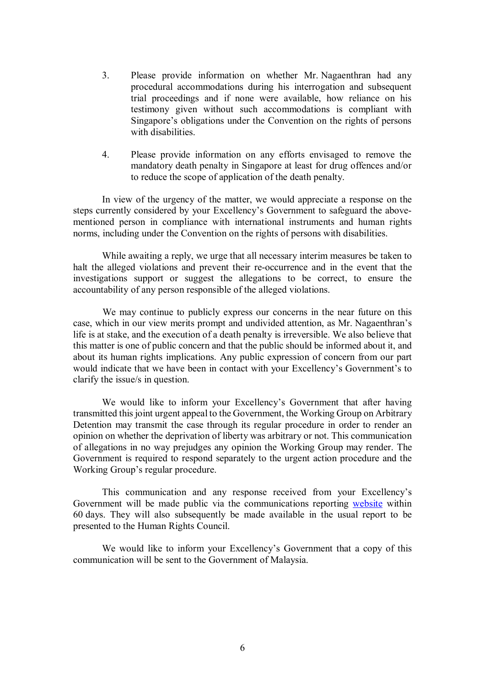- 3. Please provide information on whether Mr. Nagaenthran had any procedural accommodations during his interrogation and subsequent trial proceedings and if none were available, how reliance on his testimony given without such accommodations is compliant with Singapore's obligations under the Convention on the rights of persons with disabilities.
- 4. Please provide information on any efforts envisaged to remove the mandatory death penalty in Singapore at least for drug offences and/or to reduce the scope of application of the death penalty.

In view of the urgency of the matter, we would appreciate a response on the steps currently considered by your Excellency's Government to safeguard the abovementioned person in compliance with international instruments and human rights norms, including under the Convention on the rights of persons with disabilities.

While awaiting a reply, we urge that all necessary interim measures be taken to halt the alleged violations and prevent their re-occurrence and in the event that the investigations support or suggest the allegations to be correct, to ensure the accountability of any person responsible of the alleged violations.

We may continue to publicly express our concerns in the near future on this case, which in our view merits prompt and undivided attention, as Mr. Nagaenthran's life is at stake, and the execution of a death penalty is irreversible. We also believe that this matter is one of public concern and that the public should be informed about it, and about its human rights implications. Any public expression of concern from our part would indicate that we have been in contact with your Excellency's Government's to clarify the issue/s in question.

We would like to inform your Excellency's Government that after having transmitted this joint urgent appeal to the Government, the Working Group on Arbitrary Detention may transmit the case through its regular procedure in order to render an opinion on whether the deprivation of liberty was arbitrary or not. This communication of allegations in no way prejudges any opinion the Working Group may render. The Government is required to respond separately to the urgent action procedure and the Working Group's regular procedure.

This communication and any response received from your Excellency's Government will be made public via the communications reporting website within 60 days. They will also subsequently be made available in the usual report to be presented to the Human Rights Council.

We would like to inform your Excellency's Government that a copy of this communication will be sent to the Government of Malaysia.